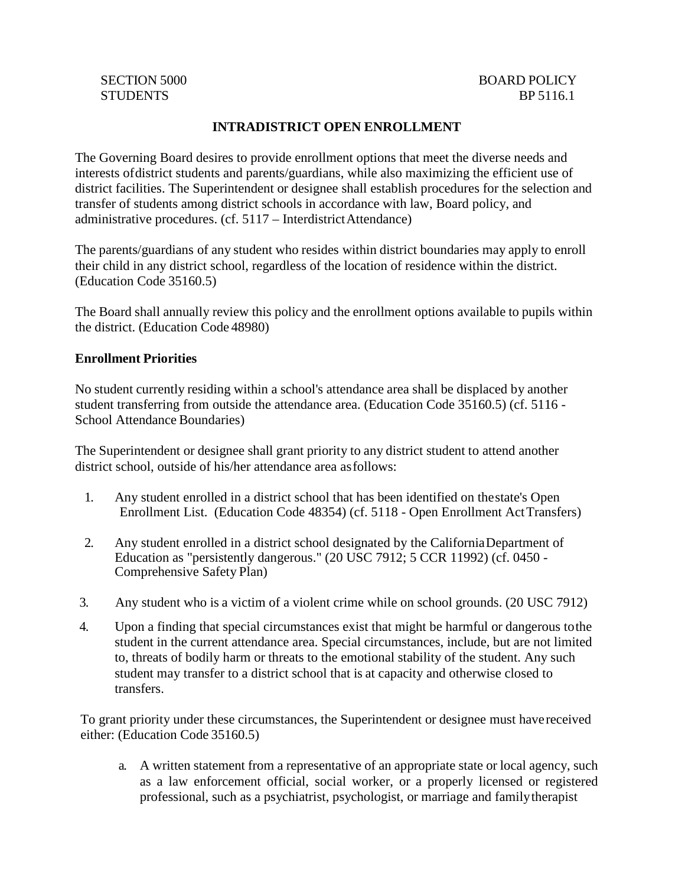# **INTRADISTRICT OPEN ENROLLMENT**

The Governing Board desires to provide enrollment options that meet the diverse needs and interests ofdistrict students and parents/guardians, while also maximizing the efficient use of district facilities. The Superintendent or designee shall establish procedures for the selection and transfer of students among district schools in accordance with law, Board policy, and administrative procedures. (cf. 5117 – InterdistrictAttendance)

The parents/guardians of any student who resides within district boundaries may apply to enroll their child in any district school, regardless of the location of residence within the district. (Education Code 35160.5)

The Board shall annually review this policy and the enrollment options available to pupils within the district. (Education Code 48980)

## **Enrollment Priorities**

No student currently residing within a school's attendance area shall be displaced by another student transferring from outside the attendance area. (Education Code 35160.5) (cf. 5116 - School Attendance Boundaries)

The Superintendent or designee shall grant priority to any district student to attend another district school, outside of his/her attendance area asfollows:

- 1. Any student enrolled in a district school that has been identified on thestate's Open Enrollment List. (Education Code 48354) (cf. 5118 - Open Enrollment ActTransfers)
- 2. Any student enrolled in a district school designated by the CaliforniaDepartment of Education as "persistently dangerous." (20 USC 7912; 5 CCR 11992) (cf. 0450 - Comprehensive Safety Plan)
- 3. Any student who is a victim of a violent crime while on school grounds. (20 USC 7912)
- 4. Upon a finding that special circumstances exist that might be harmful or dangerous tothe student in the current attendance area. Special circumstances, include, but are not limited to, threats of bodily harm or threats to the emotional stability of the student. Any such student may transfer to a district school that is at capacity and otherwise closed to transfers.

To grant priority under these circumstances, the Superintendent or designee must havereceived either: (Education Code 35160.5)

a. A written statement from a representative of an appropriate state or local agency, such as a law enforcement official, social worker, or a properly licensed or registered professional, such as a psychiatrist, psychologist, or marriage and familytherapist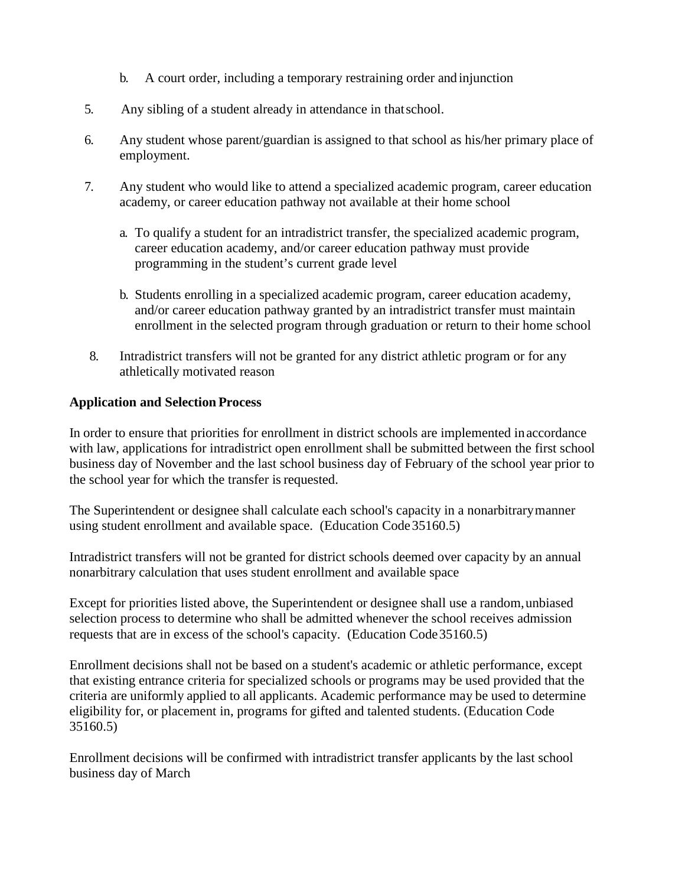- b. A court order, including a temporary restraining order and injunction
- 5. Any sibling of a student already in attendance in thatschool.
- 6. Any student whose parent/guardian is assigned to that school as his/her primary place of employment.
- 7. Any student who would like to attend a specialized academic program, career education academy, or career education pathway not available at their home school
	- a. To qualify a student for an intradistrict transfer, the specialized academic program, career education academy, and/or career education pathway must provide programming in the student's current grade level
	- b. Students enrolling in a specialized academic program, career education academy, and/or career education pathway granted by an intradistrict transfer must maintain enrollment in the selected program through graduation or return to their home school
- 8. Intradistrict transfers will not be granted for any district athletic program or for any athletically motivated reason

# **Application and Selection Process**

In order to ensure that priorities for enrollment in district schools are implemented inaccordance with law, applications for intradistrict open enrollment shall be submitted between the first school business day of November and the last school business day of February of the school year prior to the school year for which the transfer is requested.

The Superintendent or designee shall calculate each school's capacity in a nonarbitrarymanner using student enrollment and available space. (Education Code35160.5)

Intradistrict transfers will not be granted for district schools deemed over capacity by an annual nonarbitrary calculation that uses student enrollment and available space

Except for priorities listed above, the Superintendent or designee shall use a random,unbiased selection process to determine who shall be admitted whenever the school receives admission requests that are in excess of the school's capacity. (Education Code35160.5)

Enrollment decisions shall not be based on a student's academic or athletic performance, except that existing entrance criteria for specialized schools or programs may be used provided that the criteria are uniformly applied to all applicants. Academic performance may be used to determine eligibility for, or placement in, programs for gifted and talented students. (Education Code 35160.5)

Enrollment decisions will be confirmed with intradistrict transfer applicants by the last school business day of March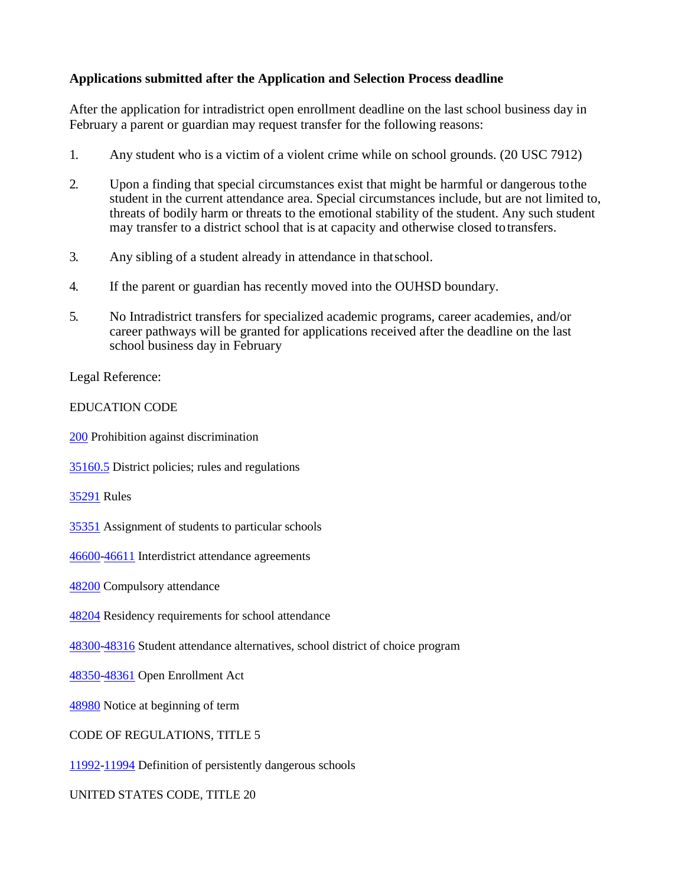# **Applications submitted after the Application and Selection Process deadline**

After the application for intradistrict open enrollment deadline on the last school business day in February a parent or guardian may request transfer for the following reasons:

- 1. Any student who is a victim of a violent crime while on school grounds. (20 USC 7912)
- 2. Upon a finding that special circumstances exist that might be harmful or dangerous tothe student in the current attendance area. Special circumstances include, but are not limited to, threats of bodily harm or threats to the emotional stability of the student. Any such student may transfer to a district school that is at capacity and otherwise closed totransfers.
- 3. Any sibling of a student already in attendance in thatschool.
- 4. If the parent or guardian has recently moved into the OUHSD boundary.
- 5. No Intradistrict transfers for specialized academic programs, career academies, and/or career pathways will be granted for applications received after the deadline on the last school business day in February

Legal Reference:

# EDUCATION CODE

[200](http://gamutonline.net/displayPolicy/138754/5) Prohibition against discrimination

[35160.5](http://gamutonline.net/displayPolicy/133166/5) District policies; rules and regulations

[35291](http://gamutonline.net/displayPolicy/131451/5) Rules

[35351](http://gamutonline.net/displayPolicy/131477/5) Assignment of students to particular schools

[46600-](http://gamutonline.net/displayPolicy/132030/5)[46611](http://gamutonline.net/displayPolicy/132038/5) Interdistrict attendance agreements

[48200](http://gamutonline.net/displayPolicy/132067/5) Compulsory attendance

[48204](http://gamutonline.net/displayPolicy/137760/5) Residency requirements for school attendance

[48300-](http://gamutonline.net/displayPolicy/328908/5)[48316](http://gamutonline.net/displayPolicy/600223/5) Student attendance alternatives, school district of choice program

[48350-](http://gamutonline.net/displayPolicy/622201/5)[48361](http://gamutonline.net/displayPolicy/622213/5) Open Enrollment Act

[48980](http://gamutonline.net/displayPolicy/226041/5) Notice at beginning of term

CODE OF REGULATIONS, TITLE 5

[11992-](http://gamutonline.net/displayPolicy/472640/5)[11994](http://gamutonline.net/displayPolicy/472642/5) Definition of persistently dangerous schools

UNITED STATES CODE, TITLE 20